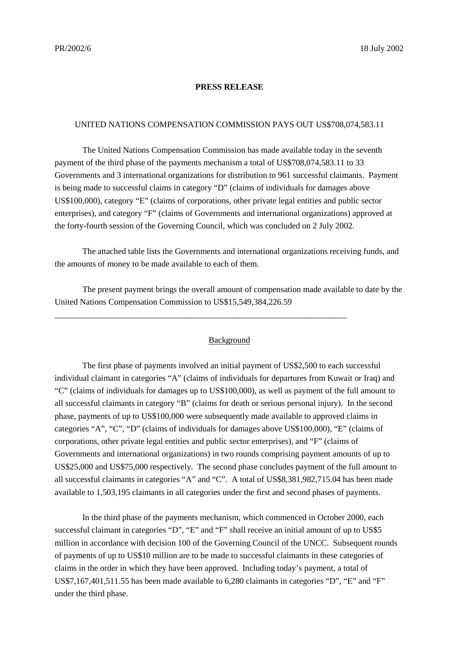#### **PRESS RELEASE**

### UNITED NATIONS COMPENSATION COMMISSION PAYS OUT US\$708,074,583.11

The United Nations Compensation Commission has made available today in the seventh payment of the third phase of the payments mechanism a total of US\$708,074,583.11 to 33 Governments and 3 international organizations for distribution to 961 successful claimants. Payment is being made to successful claims in category "D" (claims of individuals for damages above US\$100,000), category "E" (claims of corporations, other private legal entities and public sector enterprises), and category "F" (claims of Governments and international organizations) approved at the forty-fourth session of the Governing Council, which was concluded on 2 July 2002.

The attached table lists the Governments and international organizations receiving funds, and the amounts of money to be made available to each of them.

The present payment brings the overall amount of compensation made available to date by the United Nations Compensation Commission to US\$15,549,384,226.59

\_\_\_\_\_\_\_\_\_\_\_\_\_\_\_\_\_\_\_\_\_\_\_\_\_\_\_\_\_\_\_\_\_\_\_\_\_\_\_\_\_\_\_\_\_\_\_\_\_\_\_\_\_\_\_\_\_\_\_\_\_\_\_\_\_\_\_\_\_

#### **Background**

The first phase of payments involved an initial payment of US\$2,500 to each successful individual claimant in categories "A" (claims of individuals for departures from Kuwait or Iraq) and "C" (claims of individuals for damages up to US\$100,000), as well as payment of the full amount to all successful claimants in category "B" (claims for death or serious personal injury). In the second phase, payments of up to US\$100,000 were subsequently made available to approved claims in categories "A", "C", "D" (claims of individuals for damages above US\$100,000), "E" (claims of corporations, other private legal entities and public sector enterprises), and "F" (claims of Governments and international organizations) in two rounds comprising payment amounts of up to US\$25,000 and US\$75,000 respectively. The second phase concludes payment of the full amount to all successful claimants in categories "A" and "C". A total of US\$8,381,982,715.04 has been made available to 1,503,195 claimants in all categories under the first and second phases of payments.

In the third phase of the payments mechanism, which commenced in October 2000, each successful claimant in categories "D", "E" and "F" shall receive an initial amount of up to US\$5 million in accordance with decision 100 of the Governing Council of the UNCC. Subsequent rounds of payments of up to US\$10 million are to be made to successful claimants in these categories of claims in the order in which they have been approved. Including today's payment, a total of US\$7,167,401,511.55 has been made available to 6,280 claimants in categories "D", "E" and "F" under the third phase.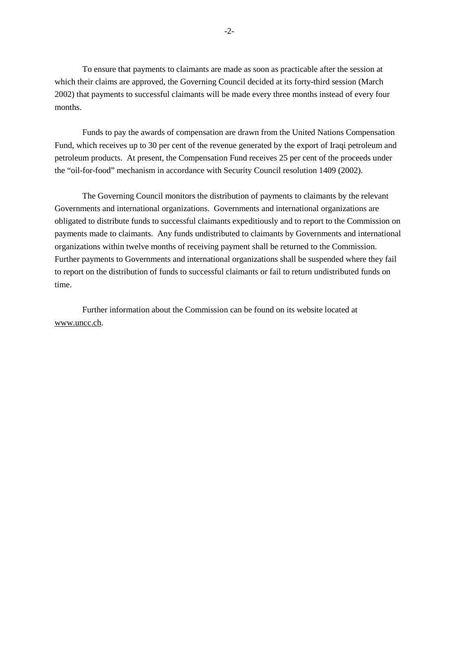To ensure that payments to claimants are made as soon as practicable after the session at which their claims are approved, the Governing Council decided at its forty-third session (March 2002) that payments to successful claimants will be made every three months instead of every four months.

Funds to pay the awards of compensation are drawn from the United Nations Compensation Fund, which receives up to 30 per cent of the revenue generated by the export of Iraqi petroleum and petroleum products. At present, the Compensation Fund receives 25 per cent of the proceeds under the "oil-for-food" mechanism in accordance with Security Council resolution 1409 (2002).

The Governing Council monitors the distribution of payments to claimants by the relevant Governments and international organizations. Governments and international organizations are obligated to distribute funds to successful claimants expeditiously and to report to the Commission on payments made to claimants. Any funds undistributed to claimants by Governments and international organizations within twelve months of receiving payment shall be returned to the Commission. Further payments to Governments and international organizations shall be suspended where they fail to report on the distribution of funds to successful claimants or fail to return undistributed funds on time.

Further information about the Commission can be found on its website located at www.uncc.ch.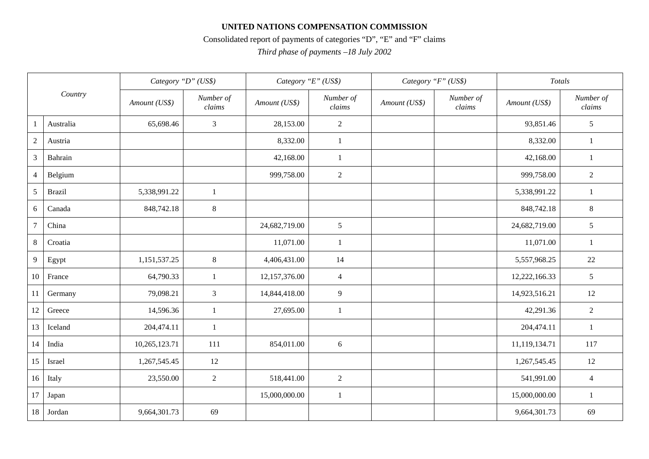## **UNITED NATIONS COMPENSATION COMMISSION**

# Consolidated report of payments of categories "D", "E" and "F" claims

*Third phase of payments –18 July 2002*

| Country          |               | Category "D" (US\$) |                     | Category "E" (US\$) |                     | Category "F" (US\$) |                     | Totals        |                     |
|------------------|---------------|---------------------|---------------------|---------------------|---------------------|---------------------|---------------------|---------------|---------------------|
|                  |               | Amount (US\$)       | Number of<br>clains | Amount (US\$)       | Number of<br>clains | Amount (US\$)       | Number of<br>clains | Amount (US\$) | Number of<br>clains |
| -1               | Australia     | 65,698.46           | $\mathfrak{Z}$      | 28,153.00           | $\overline{c}$      |                     |                     | 93,851.46     | $5\,$               |
| $\boldsymbol{2}$ | Austria       |                     |                     | 8,332.00            | 1                   |                     |                     | 8,332.00      | $\mathbf{1}$        |
| $\mathfrak{Z}$   | Bahrain       |                     |                     | 42,168.00           | $\mathbf{1}$        |                     |                     | 42,168.00     | $\mathbf{1}$        |
| $\overline{4}$   | Belgium       |                     |                     | 999,758.00          | $\overline{2}$      |                     |                     | 999,758.00    | 2                   |
| $\sqrt{5}$       | <b>Brazil</b> | 5,338,991.22        | 1                   |                     |                     |                     |                     | 5,338,991.22  | -1                  |
| 6                | Canada        | 848,742.18          | $8\,$               |                     |                     |                     |                     | 848,742.18    | $\,8\,$             |
| $\overline{7}$   | China         |                     |                     | 24,682,719.00       | 5                   |                     |                     | 24,682,719.00 | $5\phantom{.0}$     |
| 8                | Croatia       |                     |                     | 11,071.00           | 1                   |                     |                     | 11,071.00     | 1                   |
| $\overline{9}$   | Egypt         | 1,151,537.25        | $8\,$               | 4,406,431.00        | 14                  |                     |                     | 5,557,968.25  | 22                  |
| 10               | France        | 64,790.33           | $\mathbf{1}$        | 12,157,376.00       | 4                   |                     |                     | 12,222,166.33 | 5                   |
| <sup>11</sup>    | Germany       | 79,098.21           | $\mathfrak{Z}$      | 14,844,418.00       | 9                   |                     |                     | 14,923,516.21 | 12                  |
| 12               | Greece        | 14,596.36           | -1                  | 27,695.00           | 1                   |                     |                     | 42,291.36     | 2                   |
| 13               | Iceland       | 204,474.11          | $\mathbf{1}$        |                     |                     |                     |                     | 204,474.11    | $\mathbf{1}$        |
| 14               | India         | 10,265,123.71       | 111                 | 854,011.00          | 6                   |                     |                     | 11,119,134.71 | 117                 |
| 15               | Israel        | 1,267,545.45        | 12                  |                     |                     |                     |                     | 1,267,545.45  | 12                  |
| 16               | Italy         | 23,550.00           | 2                   | 518,441.00          | $\overline{2}$      |                     |                     | 541,991.00    | $\overline{4}$      |
| 17               | Japan         |                     |                     | 15,000,000.00       | $\mathbf{1}$        |                     |                     | 15,000,000.00 | -1                  |
| 18               | Jordan        | 9,664,301.73        | 69                  |                     |                     |                     |                     | 9,664,301.73  | 69                  |